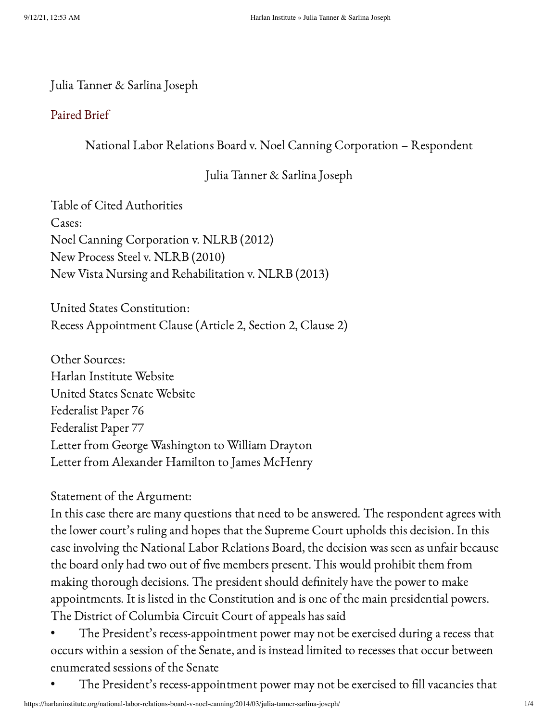Julia Tanner & Sarlina Joseph

# [Paired](https://harlaninstitute.org/wp-content/uploads/2014/03/Paired-Brief.docx) Brief

National Labor Relations Board v. Noel Canning Corporation – Respondent

# Julia Tanner & Sarlina Joseph

Table of Cited Authorities Cases: Noel Canning Corporation v. NLRB (2012) New Process Steel v. NLRB (2010) New Vista Nursing and Rehabilitation v. NLRB (2013)

United States Constitution: Recess Appointment Clause (Article 2, Section 2, Clause 2)

Other Sources: Harlan Institute Website United States Senate Website Federalist Paper 76 Federalist Paper 77 Letter from George Washington to William Drayton Letter from Alexander Hamilton to James McHenry

# Statement of the Argument:

In this case there are many questions that need to be answered. The respondent agrees with the lower court's ruling and hopes that the Supreme Court upholds this decision. In this case involving the National Labor Relations Board, the decision was seen as unfair because the board only had two out of five members present. This would prohibit them from making thorough decisions. The president should definitely have the power to make appointments. It is listed in the Constitution and is one of the main presidential powers. The District of Columbia Circuit Court of appeals has said

- The President's recess-appointment power may not be exercised during a recess that occurs within a session of the Senate, and is instead limited to recesses that occur between enumerated sessions of the Senate
- The President's recess-appointment power may not be exercised to fill vacancies that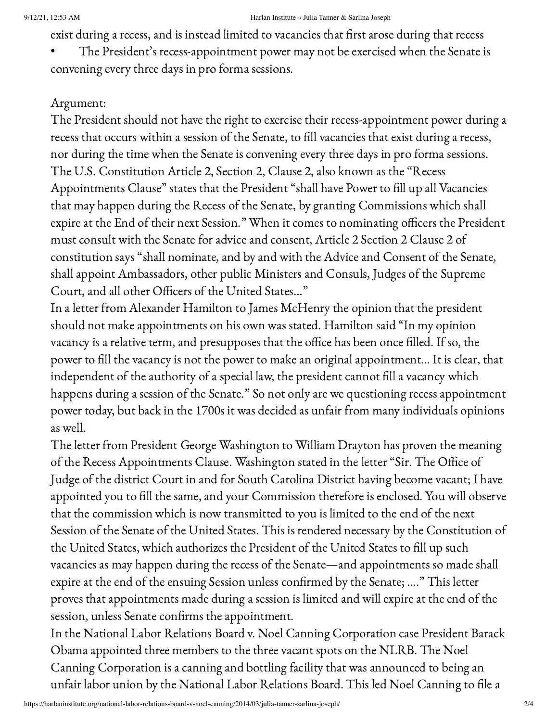exist during a recess, and is instead limited to vacancies that first arose during that recess

The President's recess-appointment power may not be exercised when the Senate is convening every three days in pro forma sessions.

### Argument:

The President should not have the right to exercise their recess-appointment power during a recess that occurs within a session of the Senate, to fill vacancies that exist during a recess, nor during the time when the Senate is convening every three days in pro forma sessions. The U.S. Constitution Article 2, Section 2, Clause 2, also known as the "Recess Appointments Clause" states that the President "shall have Power to fill up all Vacancies that may happen during the Recess of the Senate, by granting Commissions which shall expire at the End of their next Session." When it comes to nominating officers the President must consult with the Senate for advice and consent, Article 2 Section 2 Clause 2 of constitution says "shall nominate, and by and with the Advice and Consent of the Senate, shall appoint Ambassadors, other public Ministers and Consuls, Judges of the Supreme Court, and all other Officers of the United States…"

In a letter from Alexander Hamilton to James McHenry the opinion that the president should not make appointments on his own was stated. Hamilton said "In my opinion vacancy is a relative term, and presupposes that the office has been once filled. If so, the power to fill the vacancy is not the power to make an original appointment… It is clear, that independent of the authority of a special law, the president cannot fill a vacancy which happens during a session of the Senate." So not only are we questioning recess appointment power today, but back in the 1700s it was decided as unfair from many individuals opinions as well.

The letter from President George Washington to William Drayton has proven the meaning of the Recess Appointments Clause. Washington stated in the letter "Sir. The Office of Judge of the district Court in and for South Carolina District having become vacant; I have appointed you to fill the same, and your Commission therefore is enclosed. You will observe that the commission which is now transmitted to you is limited to the end of the next Session of the Senate of the United States. This is rendered necessary by the Constitution of the United States, which authorizes the President of the United States to fill up such vacancies as may happen during the recess of the Senate—and appointments so made shall expire at the end of the ensuing Session unless confirmed by the Senate; …." This letter proves that appointments made during a session is limited and will expire at the end of the session, unless Senate confirms the appointment.

In the National Labor Relations Board v. Noel Canning Corporation case President Barack Obama appointed three members to the three vacant spots on the NLRB. The Noel Canning Corporation is a canning and bottling facility that was announced to being an unfair labor union by the National Labor Relations Board. This led Noel Canning to file a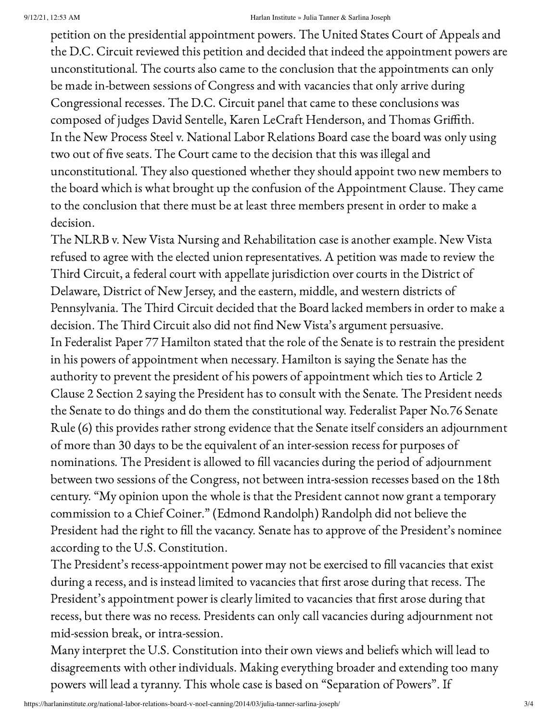#### 9/12/21, 12:53 AM Harlan Institute » Julia Tanner & Sarlina Joseph

petition on the presidential appointment powers. The United States Court of Appeals and the D.C. Circuit reviewed this petition and decided that indeed the appointment powers are unconstitutional. The courts also came to the conclusion that the appointments can only be made in-between sessions of Congress and with vacancies that only arrive during Congressional recesses. The D.C. Circuit panel that came to these conclusions was composed of judges David Sentelle, Karen LeCraft Henderson, and Thomas Griffith. In the New Process Steel v. National Labor Relations Board case the board was only using two out of five seats. The Court came to the decision that this was illegal and unconstitutional. They also questioned whether they should appoint two new members to the board which is what brought up the confusion of the Appointment Clause. They came to the conclusion that there must be at least three members present in order to make a decision.

The NLRB v. New Vista Nursing and Rehabilitation case is another example. New Vista refused to agree with the elected union representatives. A petition was made to review the Third Circuit, a federal court with appellate jurisdiction over courts in the District of Delaware, District of New Jersey, and the eastern, middle, and western districts of Pennsylvania. The Third Circuit decided that the Board lacked members in order to make a decision. The Third Circuit also did not find New Vista's argument persuasive. In Federalist Paper 77 Hamilton stated that the role of the Senate is to restrain the president in his powers of appointment when necessary. Hamilton is saying the Senate has the authority to prevent the president of his powers of appointment which ties to Article 2 Clause 2 Section 2 saying the President has to consult with the Senate. The President needs the Senate to do things and do them the constitutional way. Federalist Paper No.76 Senate Rule (6) this provides rather strong evidence that the Senate itself considers an adjournment of more than 30 days to be the equivalent of an inter-session recess for purposes of nominations. The President is allowed to fill vacancies during the period of adjournment between two sessions of the Congress, not between intra-session recesses based on the 18th century. "My opinion upon the whole is that the President cannot now grant a temporary commission to a Chief Coiner." (Edmond Randolph) Randolph did not believe the President had the right to fill the vacancy. Senate has to approve of the President's nominee according to the U.S. Constitution.

The President's recess-appointment power may not be exercised to fill vacancies that exist during a recess, and is instead limited to vacancies that first arose during that recess. The President's appointment power is clearly limited to vacancies that first arose during that recess, but there was no recess. Presidents can only call vacancies during adjournment not mid-session break, or intra-session.

Many interpret the U.S. Constitution into their own views and beliefs which will lead to disagreements with other individuals. Making everything broader and extending too many powers will lead a tyranny. This whole case is based on "Separation of Powers". If